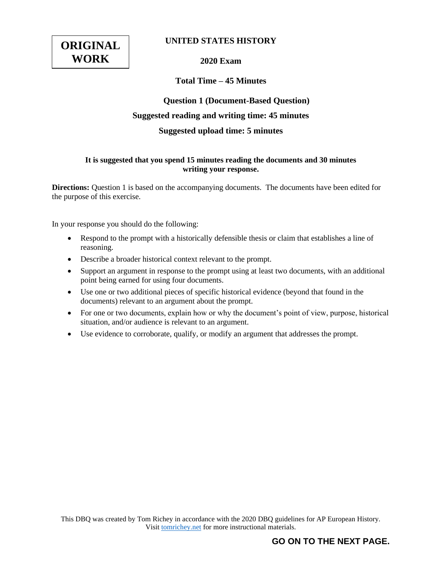

## **UNITED STATES HISTORY**

**2020 Exam**

# **Total Time – 45 Minutes**

# **Question 1 (Document-Based Question) Suggested reading and writing time: 45 minutes Suggested upload time: 5 minutes**

### **It is suggested that you spend 15 minutes reading the documents and 30 minutes writing your response.**

**Directions:** Question 1 is based on the accompanying documents. The documents have been edited for the purpose of this exercise.

In your response you should do the following:

- Respond to the prompt with a historically defensible thesis or claim that establishes a line of reasoning.
- Describe a broader historical context relevant to the prompt.
- Support an argument in response to the prompt using at least two documents, with an additional point being earned for using four documents.
- Use one or two additional pieces of specific historical evidence (beyond that found in the documents) relevant to an argument about the prompt.
- For one or two documents, explain how or why the document's point of view, purpose, historical situation, and/or audience is relevant to an argument.
- Use evidence to corroborate, qualify, or modify an argument that addresses the prompt.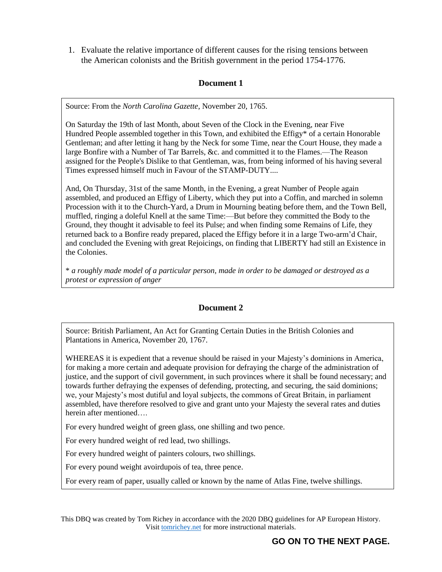1. Evaluate the relative importance of different causes for the rising tensions between the American colonists and the British government in the period 1754-1776.

# **Document 1**

Source: From the *North Carolina Gazette*, November 20, 1765.

On Saturday the 19th of last Month, about Seven of the Clock in the Evening, near Five Hundred People assembled together in this Town, and exhibited the Effigy\* of a certain Honorable Gentleman; and after letting it hang by the Neck for some Time, near the Court House, they made a large Bonfire with a Number of Tar Barrels, &c. and committed it to the Flames.—The Reason assigned for the People's Dislike to that Gentleman, was, from being informed of his having several Times expressed himself much in Favour of the STAMP-DUTY....

And, On Thursday, 31st of the same Month, in the Evening, a great Number of People again assembled, and produced an Effigy of Liberty, which they put into a Coffin, and marched in solemn Procession with it to the Church-Yard, a Drum in Mourning beating before them, and the Town Bell, muffled, ringing a doleful Knell at the same Time:—But before they committed the Body to the Ground, they thought it advisable to feel its Pulse; and when finding some Remains of Life, they returned back to a Bonfire ready prepared, placed the Effigy before it in a large Two-arm'd Chair, and concluded the Evening with great Rejoicings, on finding that LIBERTY had still an Existence in the Colonies.

\* *a roughly made model of a particular person, made in order to be damaged or destroyed as a protest or expression of anger*

## **Document 2**

Source: British Parliament, An Act for Granting Certain Duties in the British Colonies and Plantations in America, November 20, 1767.

WHEREAS it is expedient that a revenue should be raised in your Majesty's dominions in America, for making a more certain and adequate provision for defraying the charge of the administration of justice, and the support of civil government, in such provinces where it shall be found necessary; and towards further defraying the expenses of defending, protecting, and securing, the said dominions; we, your Majesty's most dutiful and loyal subjects, the commons of Great Britain, in parliament assembled, have therefore resolved to give and grant unto your Majesty the several rates and duties herein after mentioned….

For every hundred weight of green glass, one shilling and two pence.

For every hundred weight of red lead, two shillings.

For every hundred weight of painters colours, two shillings.

For every pound weight avoirdupois of tea, three pence.

For every ream of paper, usually called or known by the name of Atlas Fine, twelve shillings.

This DBQ was created by Tom Richey in accordance with the 2020 DBQ guidelines for AP European History. Visit [tomrichey.net](http://www.tomrichey.net/) for more instructional materials.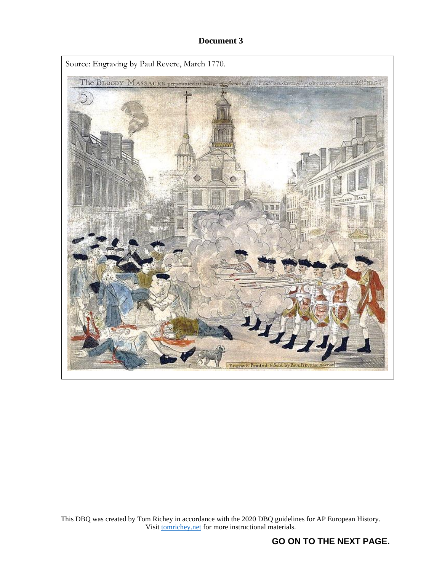## **Document 3**



This DBQ was created by Tom Richey in accordance with the 2020 DBQ guidelines for AP European History. Visit **tomrichey.net** for more instructional materials.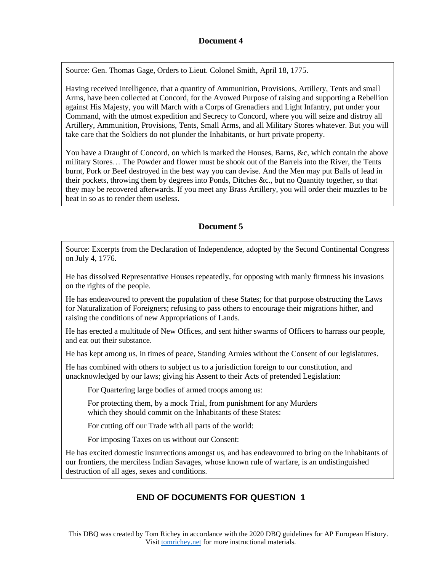## **Document 4**

Source: Gen. Thomas Gage, Orders to Lieut. Colonel Smith, April 18, 1775.

Having received intelligence, that a quantity of Ammunition, Provisions, Artillery, Tents and small Arms, have been collected at Concord, for the Avowed Purpose of raising and supporting a Rebellion against His Majesty, you will March with a Corps of Grenadiers and Light Infantry, put under your Command, with the utmost expedition and Secrecy to Concord, where you will seize and distroy all Artillery, Ammunition, Provisions, Tents, Small Arms, and all Military Stores whatever. But you will take care that the Soldiers do not plunder the Inhabitants, or hurt private property.

You have a Draught of Concord, on which is marked the Houses, Barns, &c, which contain the above military Stores… The Powder and flower must be shook out of the Barrels into the River, the Tents burnt, Pork or Beef destroyed in the best way you can devise. And the Men may put Balls of lead in their pockets, throwing them by degrees into Ponds, Ditches &c., but no Quantity together, so that they may be recovered afterwards. If you meet any Brass Artillery, you will order their muzzles to be beat in so as to render them useless.

# **Document 5**

Source: Excerpts from the Declaration of Independence, adopted by the Second Continental Congress on July 4, 1776.

He has dissolved Representative Houses repeatedly, for opposing with manly firmness his invasions on the rights of the people.

He has endeavoured to prevent the population of these States; for that purpose obstructing the Laws for Naturalization of Foreigners; refusing to pass others to encourage their migrations hither, and raising the conditions of new Appropriations of Lands.

He has erected a multitude of New Offices, and sent hither swarms of Officers to harrass our people, and eat out their substance.

He has kept among us, in times of peace, Standing Armies without the Consent of our legislatures.

He has combined with others to subject us to a jurisdiction foreign to our constitution, and unacknowledged by our laws; giving his Assent to their Acts of pretended Legislation:

For Quartering large bodies of armed troops among us:

For protecting them, by a mock Trial, from punishment for any Murders which they should commit on the Inhabitants of these States:

For cutting off our Trade with all parts of the world:

For imposing Taxes on us without our Consent:

He has excited domestic insurrections amongst us, and has endeavoured to bring on the inhabitants of our frontiers, the merciless Indian Savages, whose known rule of warfare, is an undistinguished destruction of all ages, sexes and conditions.

# **END OF DOCUMENTS FOR QUESTION 1**

This DBQ was created by Tom Richey in accordance with the 2020 DBQ guidelines for AP European History. Visit [tomrichey.net](http://www.tomrichey.net/) for more instructional materials.